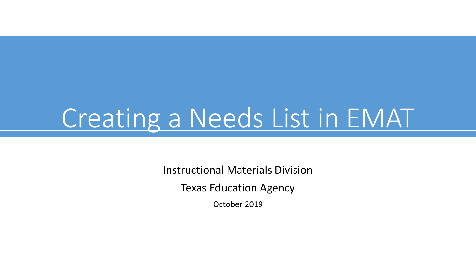# Creating a Needs List in EMAT

Instructional Materials Division

Texas Education Agency

October 2019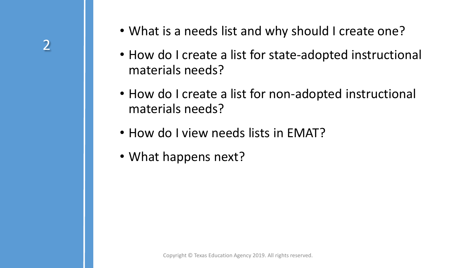- What is a needs list and why should I create one?
- How do I create a list for state-adopted instructional materials needs?
- How do I create a list for non-adopted instructional materials needs?
- How do I view needs lists in EMAT?
- What happens next?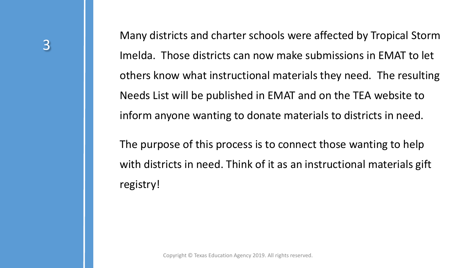Many districts and charter schools were affected by Tropical Storm Imelda. Those districts can now make submissions in EMAT to let others know what instructional materials they need. The resulting Needs List will be published in EMAT and on the TEA website to inform anyone wanting to donate materials to districts in need.

The purpose of this process is to connect those wanting to help with districts in need. Think of it as an instructional materials gift registry!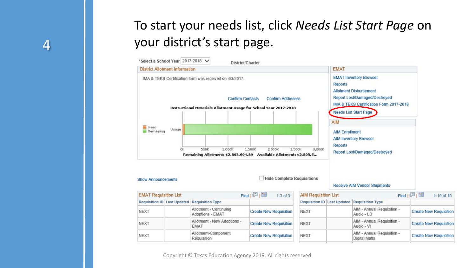## To start your needs list, click *Needs List Start Page* on your district's start page.

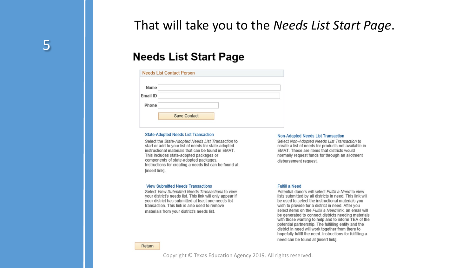That will take you to the *Needs List Start Page*.

#### **Needs List Start Page**

|          | <b>Needs List Contact Person</b> |  |
|----------|----------------------------------|--|
| Name     |                                  |  |
| Email ID |                                  |  |
| Phone    |                                  |  |
|          | <b>Save Contact</b>              |  |
|          |                                  |  |

#### **State-Adopted Needs List Transaction**

Select the State-Adopted Needs List Transaction to start or add to your list of needs for state-adopted instructional materials that can be found in EMAT. This includes state-adopted packages or components of state-adopted packages. Instructions for creating a needs list can be found at [insert link].

#### **Non-Adopted Needs List Transaction**

Select Non-Adopted Needs List Transaction to create a list of needs for products not available in EMAT. These are items that districts would normally request funds for through an allotment disbursement request.

#### **View Submitted Needs Transactions**

Select View Submitted Needs Transactions to view your district's needs list. This link will only appear if your district has submitted at least one needs list transaction. This link is also used to remove materials from your district's needs list.

#### **Fulfill a Need**

Potential donors will select Fulfill a Need to view lists submitted by all districts in need. This link will be used to select the instructional materials you wish to provide for a district in need. After you select items on the Fulfill a Need link, an email will be generated to connect districts needing materials with those wanting to help and to inform TEA of the potential partnership. The fulfilling entity and the district in need will work together from there to hopefully fulfill the need. Instructions for fulfilling a need can be found at [insert link].

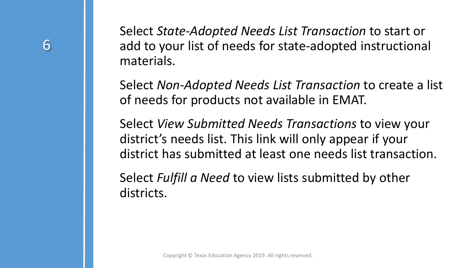Select *State-Adopted Needs List Transaction* to start or add to your list of needs for state-adopted instructional materials.

Select *Non-Adopted Needs List Transaction* to create a list of needs for products not available in EMAT.

Select *View Submitted Needs Transactions* to view your district's needs list. This link will only appear if your district has submitted at least one needs list transaction.

Select *Fulfill a Need* to view lists submitted by other districts.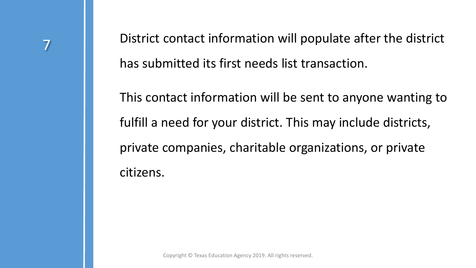District contact information will populate after the district has submitted its first needs list transaction.

This contact information will be sent to anyone wanting to fulfill a need for your district. This may include districts, private companies, charitable organizations, or private citizens.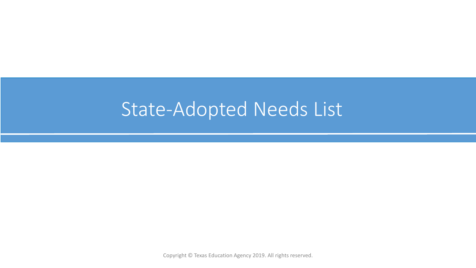# State-Adopted Needs List

Copyright © Texas Education Agency 2019. All rights reserved.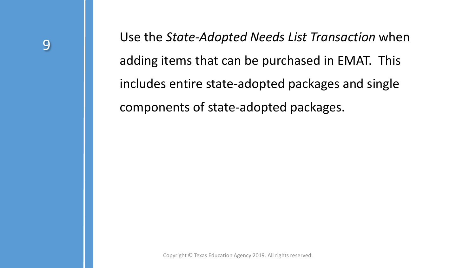Use the *State-Adopted Needs List Transaction* when adding items that can be purchased in EMAT. This includes entire state-adopted packages and single components of state-adopted packages.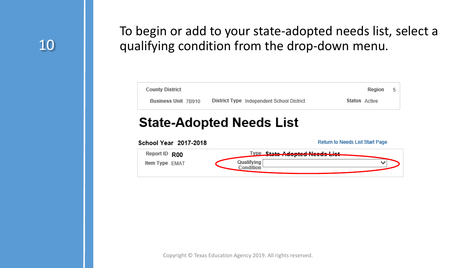## 10

Agenda

#### To begin or add to your state-adopted needs list, select a qualifying condition from the drop-down menu.

| <b>County District</b> |                                           | Region        | 5 |
|------------------------|-------------------------------------------|---------------|---|
| Business Unit 7B910    | District Type Independent School District | Status Active |   |
|                        |                                           |               |   |

#### **State-Adopted Needs List**

| School Year 2017-2018           | Return to Needs List Start Page                                  |
|---------------------------------|------------------------------------------------------------------|
| Report ID R00<br>Item Type EMAT | <u>Type State Adopted Needs List-</u><br>Qualifying<br>Condition |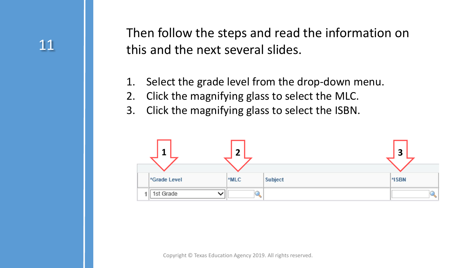Then follow the steps and read the information on this and the next several slides.

- 1. Select the grade level from the drop-down menu.
- 2. Click the magnifying glass to select the MLC.
- 3. Click the magnifying glass to select the ISBN.

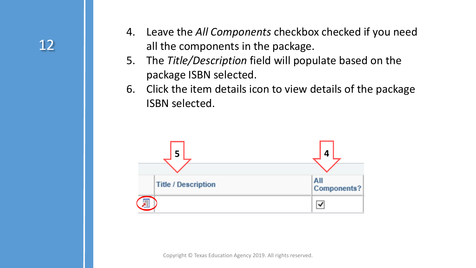- 4. Leave the *All Components* checkbox checked if you need all the components in the package.
- 5. The *Title/Description* field will populate based on the package ISBN selected.
- 6. Click the item details icon to view details of the package ISBN selected.

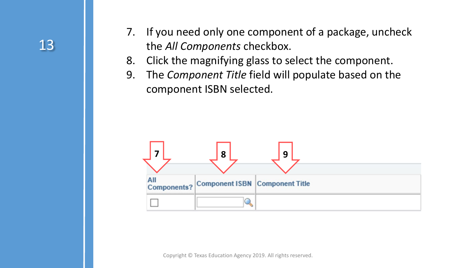- 7. If you need only one component of a package, uncheck the *All Components* checkbox.
- 8. Click the magnifying glass to select the component.
- 9. The *Component Title* field will populate based on the component ISBN selected.

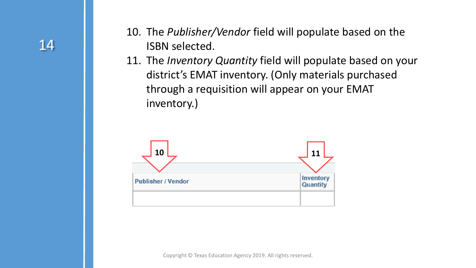- 10. The *Publisher/Vendor* field will populate based on the ISBN selected.
- 11. The *Inventory Quantity* field will populate based on your district's EMAT inventory. (Only materials purchased through a requisition will appear on your EMAT inventory.)

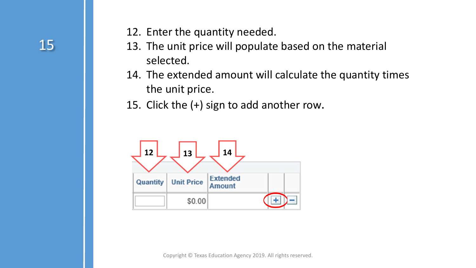- 12. Enter the quantity needed.
- 13. The unit price will populate based on the material selected.
- 14. The extended amount will calculate the quantity times the unit price.
- 15. Click the (+) sign to add another row.

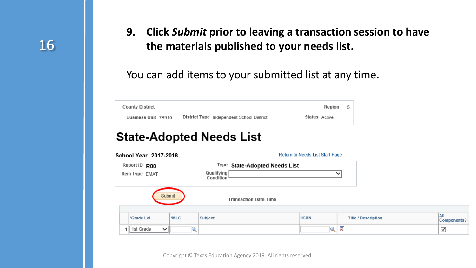**9. Click** *Submit* **prior to leaving a transaction session to have the materials published to your needs list.** 

#### You can add items to your submitted list at any time.

| <b>County District</b> |                                           | Region        | 5 |
|------------------------|-------------------------------------------|---------------|---|
| Business Unit 7B910    | District Type Independent School District | Status Active |   |

#### **State-Adopted Needs List**

| School Year 2017-2018     |      |                         |                               | Return to Needs List Start Page |   |                            |                           |
|---------------------------|------|-------------------------|-------------------------------|---------------------------------|---|----------------------------|---------------------------|
| Report ID R00             |      |                         | Type State-Adopted Needs List |                                 |   |                            |                           |
| Item Type EMAT            |      | Qualifying<br>Condition |                               |                                 | ◡ |                            |                           |
| Submit                    |      |                         | <b>Transaction Date-Time</b>  |                                 |   |                            |                           |
| *Grade LvI                | *MLC | <b>Subject</b>          |                               | *ISBN                           |   | <b>Title / Description</b> | All<br><b>Components?</b> |
| 1st Grade<br>$\checkmark$ |      |                         |                               | Ž                               | 眉 |                            | $\checkmark$              |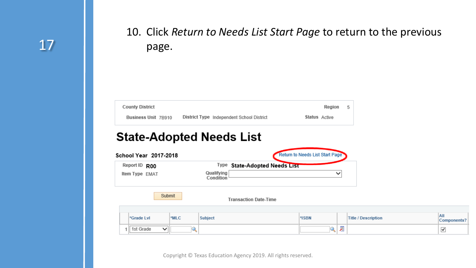#### 10. Click *Return to Needs List Start Page* to return to the previous page.

| <b>County District</b> |                                           |               | Region | -5 |
|------------------------|-------------------------------------------|---------------|--------|----|
| Business Unit 7B910    | District Type Independent School District | Status Active |        |    |

#### **State-Adopted Needs List**

| Report ID R00<br>Item Type EMAT |            |        |                         | Type State-Adopted Needs List |       |              |                            |
|---------------------------------|------------|--------|-------------------------|-------------------------------|-------|--------------|----------------------------|
|                                 |            |        | Qualifying<br>Condition |                               |       | $\checkmark$ |                            |
|                                 |            |        |                         |                               |       |              |                            |
|                                 |            | Submit |                         | <b>Transaction Date-Time</b>  |       |              |                            |
|                                 | *Grade LvI | *MLC   | <b>Subject</b>          |                               | *ISBN |              | <b>Title / Description</b> |

All<br>Components?

 $\blacktriangledown$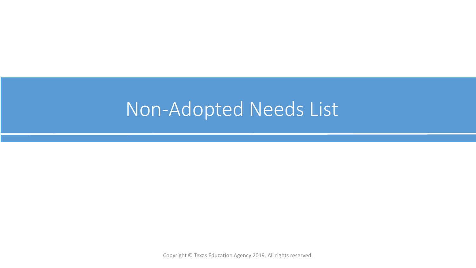# Non-Adopted Needs List

Copyright © Texas Education Agency 2019. All rights reserved.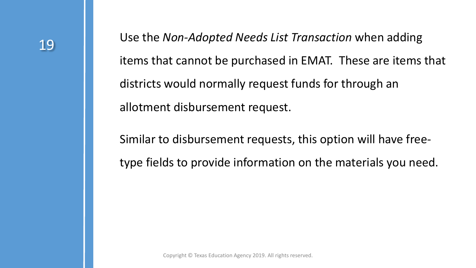Use the *Non-Adopted Needs List Transaction* when adding items that cannot be purchased in EMAT. These are items that districts would normally request funds for through an allotment disbursement request.

Similar to disbursement requests, this option will have freetype fields to provide information on the materials you need.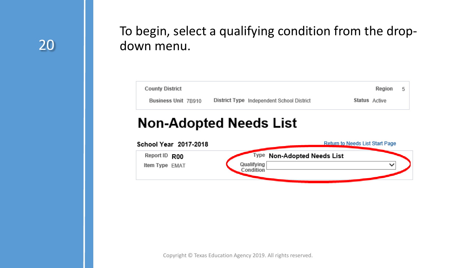#### To begin, select a qualifying condition from the dropdown menu.



#### **Non-Adopted Needs List**

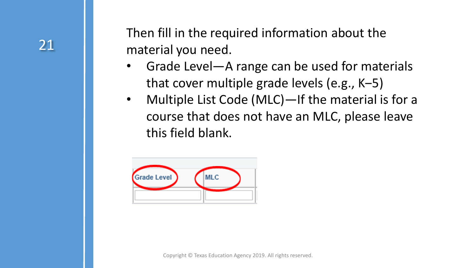Then fill in the required information about the material you need.

- Grade Level—A range can be used for materials that cover multiple grade levels (e.g., K-5)
- Multiple List Code (MLC)—If the material is for a course that does not have an MLC, please leave this field blank.

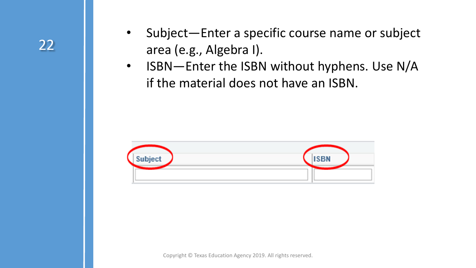- Subject-Enter a specific course name or subject area (e.g., Algebra I).
- ISBN—Enter the ISBN without hyphens. Use N/A if the material does not have an ISBN.

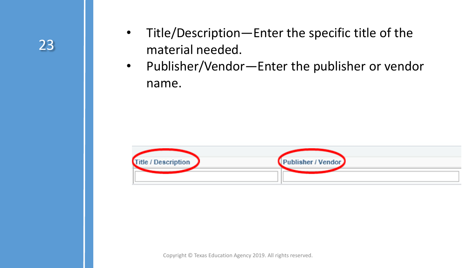

- Title/Description—Enter the specific title of the material needed.
- Publisher/Vendor—Enter the publisher or vendor name.

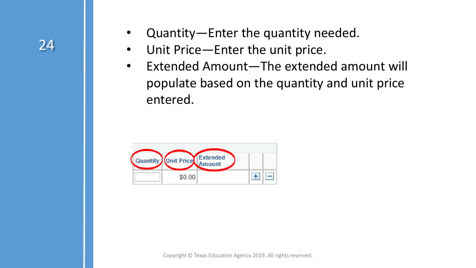## 24

- Quantity—Enter the quantity needed.
- Unit Price—Enter the unit price.
- Extended Amount—The extended amount will populate based on the quantity and unit price entered.

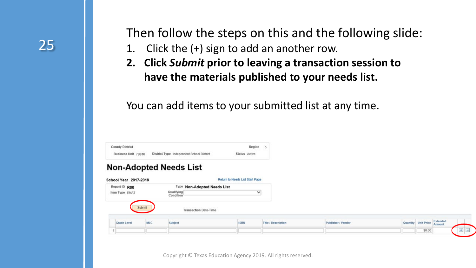Then follow the steps on this and the following slide:

- 1. Click the (+) sign to add an another row.
- **2. Click** *Submit* **prior to leaving a transaction session to have the materials published to your needs list.**

You can add items to your submitted list at any time.

| <b>County District</b> |                                           | Region                          | 5 |
|------------------------|-------------------------------------------|---------------------------------|---|
| Business Unit 7B910    | District Type Independent School District | Status Active                   |   |
| School Year 2017-2018  | <b>Non-Adopted Needs List</b>             | Return to Needs List Start Page |   |
| Report ID R00          | Type<br><b>Non-Adopted Needs List</b>     |                                 |   |
| Item Type EMAT         | Qualifying<br>Condition                   | ∨                               |   |
|                        |                                           |                                 |   |

| Grade Level | .<br><b>MLC</b> | Subject | <b>SBN</b> | itle / Description | <b>Publisher / Vendos</b><br>_____ | Quant | "Init Price | Extended<br>$-200$ |  |
|-------------|-----------------|---------|------------|--------------------|------------------------------------|-------|-------------|--------------------|--|
|             |                 |         |            |                    |                                    |       | \$0.00      |                    |  |
|             |                 |         |            |                    |                                    |       |             |                    |  |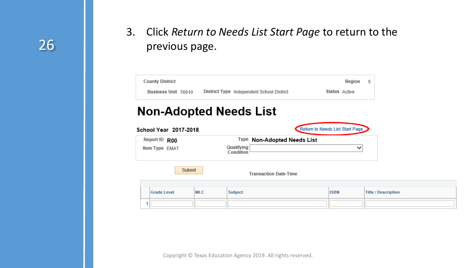#### 3. Click *Return to Needs List Start Page* to return to the previous page.

| <b>County District</b>                        |                                           | Region                          | 5                          |
|-----------------------------------------------|-------------------------------------------|---------------------------------|----------------------------|
| Business Unit 7B910                           | District Type Independent School District | Status Active                   |                            |
| <b>Non-Adopted Needs List</b>                 |                                           |                                 |                            |
|                                               |                                           | Return to Needs List Start Page |                            |
| <b>School Year 2017-2018</b><br>Report ID R00 | Type Non-Adopted Needs List               |                                 |                            |
| Item Type EMAT                                | Qualifying<br>Condition                   |                                 | $\checkmark$               |
|                                               |                                           |                                 |                            |
| Submit                                        | <b>Transaction Date-Time</b>              |                                 |                            |
|                                               |                                           |                                 |                            |
| <b>Grade Level</b><br><b>MLC</b>              | <b>Subject</b>                            | <b>ISBN</b>                     | <b>Title / Description</b> |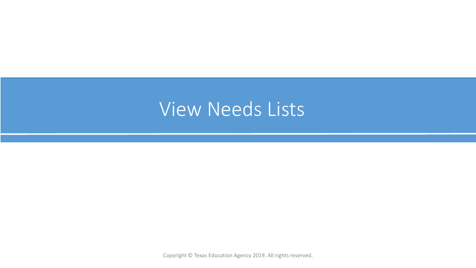# View Needs Lists

Copyright © Texas Education Agency 2019. All rights reserved.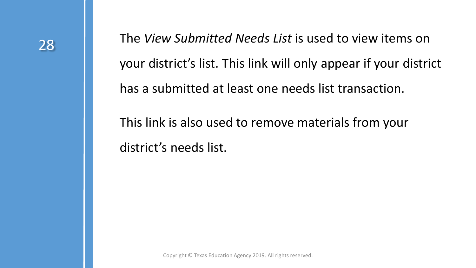The *View Submitted Needs List* is used to view items on your district's list. This link will only appear if your district has a submitted at least one needs list transaction.

This link is also used to remove materials from your district's needs list.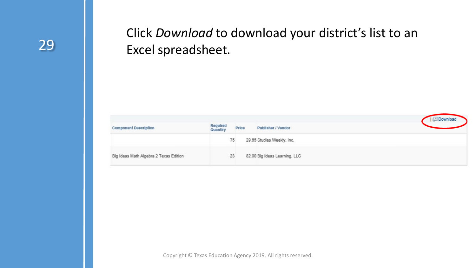### Click *Download* to download your district's list to an Excel spreadsheet.

| <b>Component Description</b>           | Required<br>Quantiry | Price | Publisher / Vendor            | <b>Download</b> |
|----------------------------------------|----------------------|-------|-------------------------------|-----------------|
|                                        |                      | 75    | 29.65 Studies Weekly, Inc.    |                 |
| Big Ideas Math Algebra 2 Texas Edition |                      | 23    | 82.00 Big Ideas Learning, LLC |                 |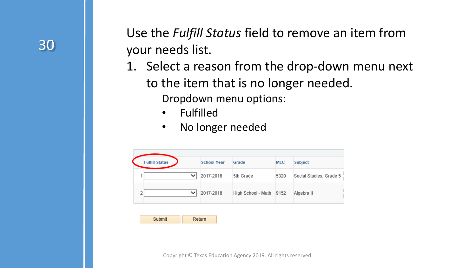

Use the *Fulfill Status* field to remove an item from your needs list.

- 1. Select a reason from the drop-down menu next to the item that is no longer needed. Dropdown menu options:
	- **Fulfilled**
	- No longer needed

| <b>Fulfill Status</b> | <b>School Year</b> | Grade              | <b>MLC</b> | <b>Subject</b>          |
|-----------------------|--------------------|--------------------|------------|-------------------------|
| $\checkmark$          | 2017-2018          | 5th Grade          | 5320       | Social Studies, Grade 5 |
| $\checkmark$          | 2017-2018          | High School - Math | 9152       | Algebra II              |

| Submit | Return |
|--------|--------|
|--------|--------|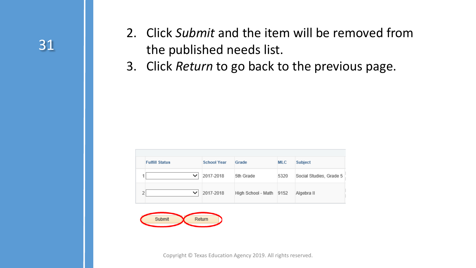- 2. Click *Submit* and the item will be removed from the published needs list.
- 3. Click *Return* to go back to the previous page.

|  | <b>Fulfill Status</b> | <b>School Year</b> | Grade                   | <b>MLC</b> | <b>Subject</b>          |  |  |
|--|-----------------------|--------------------|-------------------------|------------|-------------------------|--|--|
|  |                       | 2017-2018          | 5th Grade               | 5320       | Social Studies, Grade 5 |  |  |
|  |                       | 2017-2018          | High School - Math 9152 |            | Algebra II              |  |  |



Copyright © Texas Education Agency 2019. All rights reserved.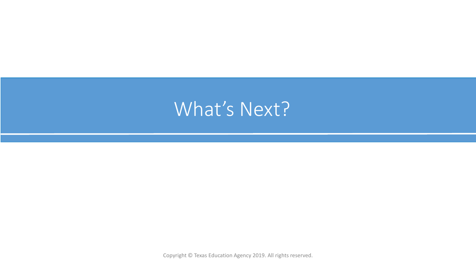# What's Next?

Copyright © Texas Education Agency 2019. All rights reserved.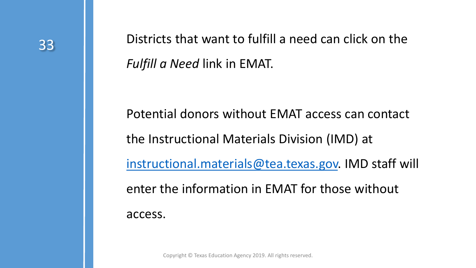33 **Districts that want to fulfill a need can click on the** *Fulfill a Need* link in EMAT.

> Potential donors without EMAT access can contact the Instructional Materials Division (IMD) at [instructional.materials@tea.texas.gov.](mailto:instructional.materials@tea.texas.gov) IMD staff will enter the information in EMAT for those without access.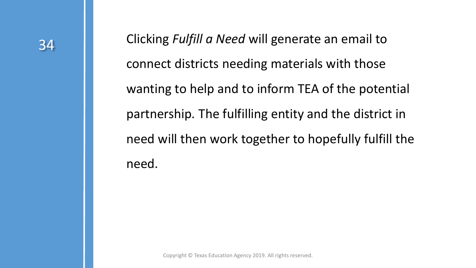34 Clicking *Fulfill a Need* will generate an email to connect districts needing materials with those wanting to help and to inform TEA of the potential partnership. The fulfilling entity and the district in need will then work together to hopefully fulfill the need.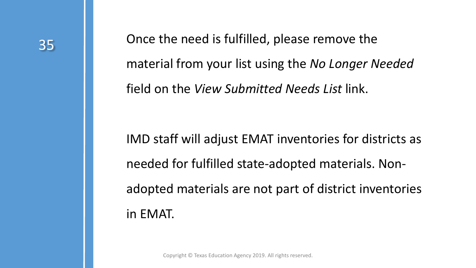35 Christeller Christel eneed is fulfilled, please remove the material from your list using the *No Longer Needed*  field on the *View Submitted Needs List* link.

> IMD staff will adjust EMAT inventories for districts as needed for fulfilled state-adopted materials. Nonadopted materials are not part of district inventories in EMAT.